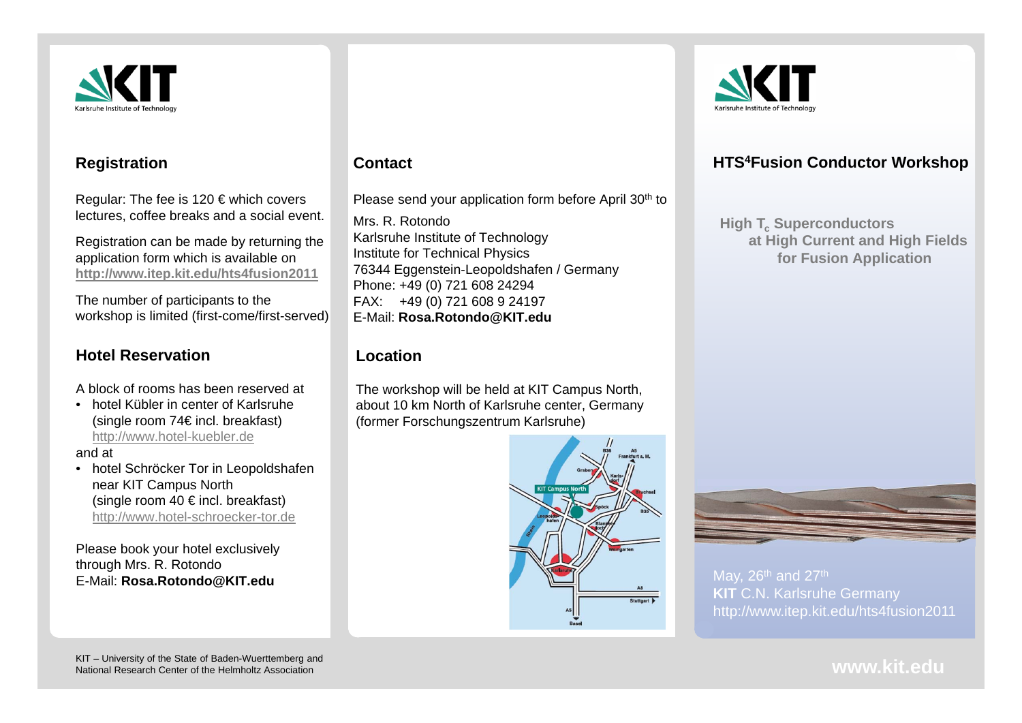

#### **Registration**

Regular: The fee is 120 € which covers lectures, coffee breaks and a social event.

Registration can be made by returning the application form which is available on **http://www.itep.kit.edu/hts4fusion2011**

The number of participants to the workshop is limited (first-come/first-served)

## **Hotel Reservation**

A block of rooms has been reserved at

• hotel Kübler in center of Karlsruhe (single room 74€ incl. breakfast) http://www.hotel-kuebler.de

and at

• hotel Schröcker Tor in Leopoldshafen near KIT Campus North (single room 40  $\in$  incl. breakfast) http://www.hotel-schroecker-tor.de

Please book your hotel exclusively through Mrs. R. Rotondo E-Mail: **Rosa.Rotondo@KIT.edu**

### **Contact**

Please send your application form before April 30<sup>th</sup> to

Mrs. R. RotondoKarlsruhe Institute of Technology Institute for Technical Physics 76344 Eggenstein-Leopoldshafen / Germany Phone: +49 (0) 721 608 24294 FAX: +49 (0) 721 608 9 24197 E-Mail: **Rosa.Rotondo@KIT.edu**

### **Location**

The workshop will be held at KIT Campus North, about 10 km North of Karlsruhe center, Germany (former Forschungszentrum Karlsruhe)





# **HTS4Fusion Conductor Workshop**

**High Tc Superconductors at High Current and High Fields for Fusion Application**



May,  $26<sup>th</sup>$  and  $27<sup>th</sup>$ **KIT** C.N. Karlsruhe Germany http://www.itep.kit.edu/hts4fusion2011

KIT – University of the State of Baden-Wuerttemberg and National Research Center of the Helmholtz Association

**www.kit.edu**